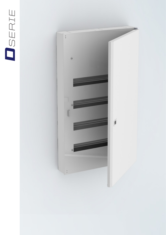